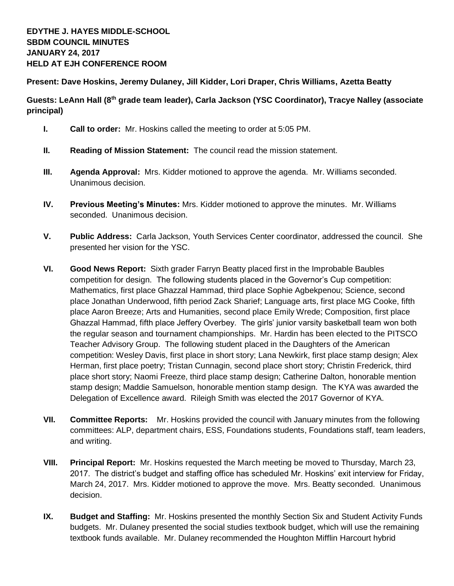**Present: Dave Hoskins, Jeremy Dulaney, Jill Kidder, Lori Draper, Chris Williams, Azetta Beatty**

**Guests: LeAnn Hall (8th grade team leader), Carla Jackson (YSC Coordinator), Tracye Nalley (associate principal)**

- **I. Call to order:** Mr. Hoskins called the meeting to order at 5:05 PM.
- **II. Reading of Mission Statement:** The council read the mission statement.
- **III. Agenda Approval:** Mrs. Kidder motioned to approve the agenda. Mr. Williams seconded. Unanimous decision.
- **IV. Previous Meeting's Minutes:** Mrs. Kidder motioned to approve the minutes. Mr. Williams seconded. Unanimous decision.
- **V. Public Address:** Carla Jackson, Youth Services Center coordinator, addressed the council. She presented her vision for the YSC.
- **VI. Good News Report:** Sixth grader Farryn Beatty placed first in the Improbable Baubles competition for design. The following students placed in the Governor's Cup competition: Mathematics, first place Ghazzal Hammad, third place Sophie Agbekpenou; Science, second place Jonathan Underwood, fifth period Zack Sharief; Language arts, first place MG Cooke, fifth place Aaron Breeze; Arts and Humanities, second place Emily Wrede; Composition, first place Ghazzal Hammad, fifth place Jeffery Overbey. The girls' junior varsity basketball team won both the regular season and tournament championships. Mr. Hardin has been elected to the PITSCO Teacher Advisory Group. The following student placed in the Daughters of the American competition: Wesley Davis, first place in short story; Lana Newkirk, first place stamp design; Alex Herman, first place poetry; Tristan Cunnagin, second place short story; Christin Frederick, third place short story; Naomi Freeze, third place stamp design; Catherine Dalton, honorable mention stamp design; Maddie Samuelson, honorable mention stamp design. The KYA was awarded the Delegation of Excellence award. Rileigh Smith was elected the 2017 Governor of KYA.
- **VII. Committee Reports:** Mr. Hoskins provided the council with January minutes from the following committees: ALP, department chairs, ESS, Foundations students, Foundations staff, team leaders, and writing.
- **VIII. Principal Report:** Mr. Hoskins requested the March meeting be moved to Thursday, March 23, 2017. The district's budget and staffing office has scheduled Mr. Hoskins' exit interview for Friday, March 24, 2017. Mrs. Kidder motioned to approve the move. Mrs. Beatty seconded. Unanimous decision.
- **IX. Budget and Staffing:** Mr. Hoskins presented the monthly Section Six and Student Activity Funds budgets. Mr. Dulaney presented the social studies textbook budget, which will use the remaining textbook funds available. Mr. Dulaney recommended the Houghton Mifflin Harcourt hybrid